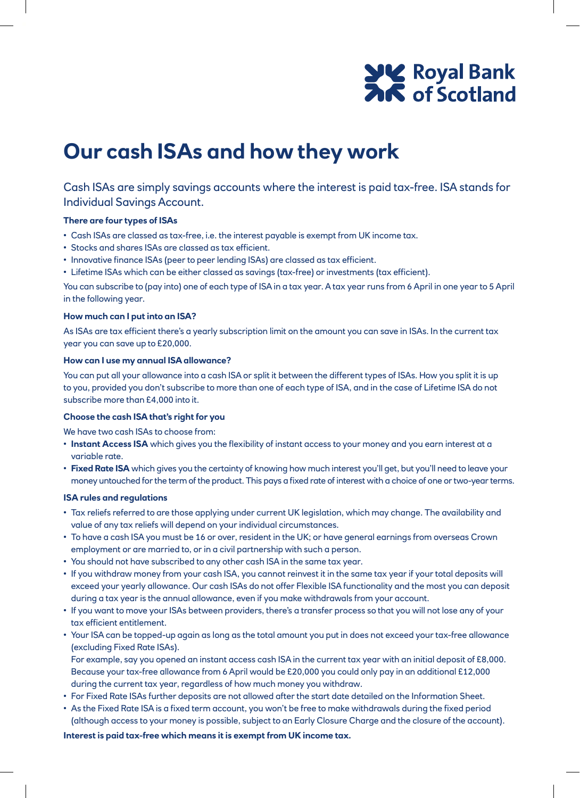# **SAC** Royal Bank

### **Our cash ISAs and how they work**

Cash ISAs are simply savings accounts where the interest is paid tax-free. ISA stands for Individual Savings Account.

#### **There are four types of ISAs**

- Cash ISAs are classed as tax-free, i.e. the interest payable is exempt from UK income tax.
- Stocks and shares ISAs are classed as tax efficient.
- Innovative finance ISAs (peer to peer lending ISAs) are classed as tax efficient.
- Lifetime ISAs which can be either classed as savings (tax-free) or investments (tax efficient).

You can subscribe to (pay into) one of each type of ISA in a tax year. A tax year runs from 6 April in one year to 5 April in the following year.

#### **How much can I put into an ISA?**

As ISAs are tax efficient there's a yearly subscription limit on the amount you can save in ISAs. In the current tax year you can save up to £20,000.

#### **How can I use my annual ISA allowance?**

You can put all your allowance into a cash ISA or split it between the different types of ISAs. How you split it is up to you, provided you don't subscribe to more than one of each type of ISA, and in the case of Lifetime ISA do not subscribe more than £4,000 into it.

#### **Choose the cash ISA that's right for you**

We have two cash ISAs to choose from:

- **Instant Access ISA** which gives you the flexibility of instant access to your money and you earn interest at a variable rate.
- **Fixed Rate ISA** which gives you the certainty of knowing how much interest you'll get, but you'll need to leave your money untouched for the term of the product. This pays a fixed rate of interest with a choice of one or two-year terms.

#### **ISA rules and regulations**

- Tax reliefs referred to are those applying under current UK legislation, which may change. The availability and value of any tax reliefs will depend on your individual circumstances.
- To have a cash ISA you must be 16 or over, resident in the UK; or have general earnings from overseas Crown employment or are married to, or in a civil partnership with such a person.
- You should not have subscribed to any other cash ISA in the same tax year.
- If you withdraw money from your cash ISA, you cannot reinvest it in the same tax year if your total deposits will exceed your yearly allowance. Our cash ISAs do not offer Flexible ISA functionality and the most you can deposit during a tax year is the annual allowance, even if you make withdrawals from your account.
- If you want to move your ISAs between providers, there's a transfer process so that you will not lose any of your tax efficient entitlement.
- Your ISA can be topped-up again as long as the total amount you put in does not exceed your tax-free allowance (excluding Fixed Rate ISAs).

 For example, say you opened an instant access cash ISA in the current tax year with an initial deposit of £8,000. Because your tax-free allowance from 6 April would be £20,000 you could only pay in an additional £12,000 during the current tax year, regardless of how much money you withdraw.

- For Fixed Rate ISAs further deposits are not allowed after the start date detailed on the Information Sheet.
- As the Fixed Rate ISA is a fixed term account, you won't be free to make withdrawals during the fixed period (although access to your money is possible, subject to an Early Closure Charge and the closure of the account).

#### **Interest is paid tax-free which means it is exempt from UK income tax.**